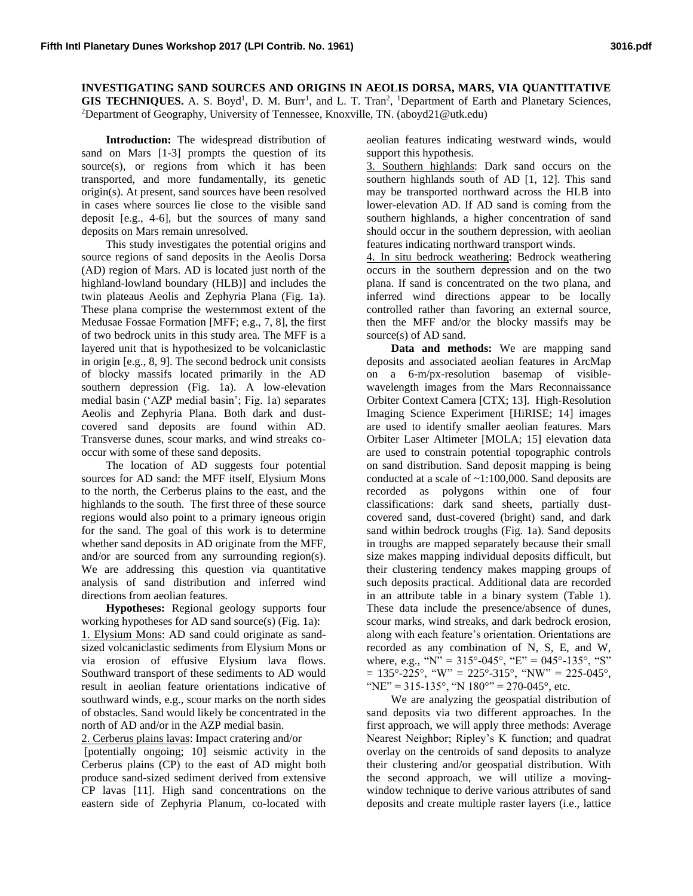**INVESTIGATING SAND SOURCES AND ORIGINS IN AEOLIS DORSA, MARS, VIA QUANTITATIVE**  GIS TECHNIQUES. A. S. Boyd<sup>1</sup>, D. M. Burr<sup>1</sup>, and L. T. Tran<sup>2</sup>, <sup>1</sup>Department of Earth and Planetary Sciences, <sup>2</sup>Department of Geography, University of Tennessee, Knoxville, TN. (aboyd21@utk.edu)

**Introduction:** The widespread distribution of sand on Mars [1-3] prompts the question of its source(s), or regions from which it has been transported, and more fundamentally, its genetic origin(s). At present, sand sources have been resolved in cases where sources lie close to the visible sand deposit [e.g., 4-6], but the sources of many sand deposits on Mars remain unresolved.

This study investigates the potential origins and source regions of sand deposits in the Aeolis Dorsa (AD) region of Mars. AD is located just north of the highland-lowland boundary (HLB)] and includes the twin plateaus Aeolis and Zephyria Plana (Fig. 1a). These plana comprise the westernmost extent of the Medusae Fossae Formation [MFF; e.g., 7, 8], the first of two bedrock units in this study area. The MFF is a layered unit that is hypothesized to be volcaniclastic in origin [e.g., 8, 9]. The second bedrock unit consists of blocky massifs located primarily in the AD southern depression (Fig. 1a). A low-elevation medial basin ('AZP medial basin'; Fig. 1a) separates Aeolis and Zephyria Plana. Both dark and dustcovered sand deposits are found within AD. Transverse dunes, scour marks, and wind streaks cooccur with some of these sand deposits.

The location of AD suggests four potential sources for AD sand: the MFF itself, Elysium Mons to the north, the Cerberus plains to the east, and the highlands to the south. The first three of these source regions would also point to a primary igneous origin for the sand. The goal of this work is to determine whether sand deposits in AD originate from the MFF, and/or are sourced from any surrounding region(s). We are addressing this question via quantitative analysis of sand distribution and inferred wind directions from aeolian features.

**Hypotheses:** Regional geology supports four working hypotheses for AD sand source(s) (Fig. 1a): 1. Elysium Mons: AD sand could originate as sandsized volcaniclastic sediments from Elysium Mons or via erosion of effusive Elysium lava flows. Southward transport of these sediments to AD would result in aeolian feature orientations indicative of southward winds, e.g., scour marks on the north sides of obstacles. Sand would likely be concentrated in the north of AD and/or in the AZP medial basin.

2. Cerberus plains lavas: Impact cratering and/or

[potentially ongoing; 10] seismic activity in the Cerberus plains (CP) to the east of AD might both produce sand-sized sediment derived from extensive CP lavas [11]. High sand concentrations on the eastern side of Zephyria Planum, co-located with

aeolian features indicating westward winds, would support this hypothesis.

3. Southern highlands: Dark sand occurs on the southern highlands south of AD [1, 12]. This sand may be transported northward across the HLB into lower-elevation AD. If AD sand is coming from the southern highlands, a higher concentration of sand should occur in the southern depression, with aeolian features indicating northward transport winds.

4. In situ bedrock weathering: Bedrock weathering occurs in the southern depression and on the two plana. If sand is concentrated on the two plana, and inferred wind directions appear to be locally controlled rather than favoring an external source, then the MFF and/or the blocky massifs may be source(s) of AD sand.

**Data and methods:** We are mapping sand deposits and associated aeolian features in ArcMap on a 6-m/px-resolution basemap of visiblewavelength images from the Mars Reconnaissance Orbiter Context Camera [CTX; 13]. High-Resolution Imaging Science Experiment [HiRISE; 14] images are used to identify smaller aeolian features. Mars Orbiter Laser Altimeter [MOLA; 15] elevation data are used to constrain potential topographic controls on sand distribution. Sand deposit mapping is being conducted at a scale of ~1:100,000. Sand deposits are recorded as polygons within one of four classifications: dark sand sheets, partially dustcovered sand, dust-covered (bright) sand, and dark sand within bedrock troughs (Fig. 1a). Sand deposits in troughs are mapped separately because their small size makes mapping individual deposits difficult, but their clustering tendency makes mapping groups of such deposits practical. Additional data are recorded in an attribute table in a binary system (Table 1). These data include the presence/absence of dunes, scour marks, wind streaks, and dark bedrock erosion, along with each feature's orientation. Orientations are recorded as any combination of N, S, E, and W, where, e.g., "N" =  $315^{\circ}$ -045°, "E" = 045°-135°, "S"  $= 135^{\circ} - 225^{\circ}$ , "W" = 225°-315°, "NW" = 225-045°, "NE" = 315-135°, "N 180°" = 270-045°, etc.

We are analyzing the geospatial distribution of sand deposits via two different approaches. In the first approach, we will apply three methods: Average Nearest Neighbor; Ripley's K function; and quadrat overlay on the centroids of sand deposits to analyze their clustering and/or geospatial distribution. With the second approach, we will utilize a movingwindow technique to derive various attributes of sand deposits and create multiple raster layers (i.e., lattice